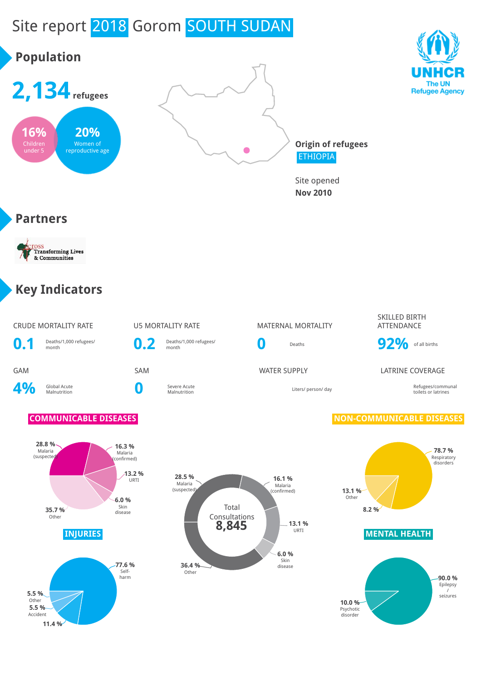# Site report 2018 Gorom SOUTH SUDAN

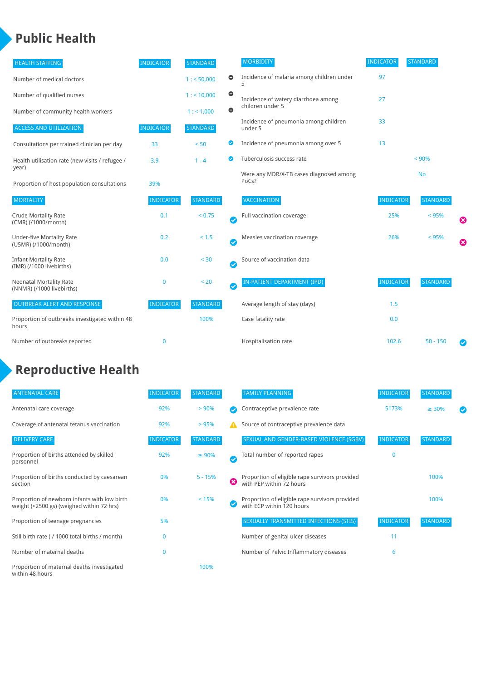#### **Public Health**

| <b>HEALTH STAFFING</b>                                      | <b>INDICATOR</b> | <b>STANDARD</b> |           | <b>MORBIDITY</b>                                 | <b>INDICATOR</b> | <b>STANDARD</b> |   |
|-------------------------------------------------------------|------------------|-----------------|-----------|--------------------------------------------------|------------------|-----------------|---|
| Number of medical doctors                                   |                  | 1: 50,000       | $\bullet$ | Incidence of malaria among children under        | 97               |                 |   |
| Number of qualified nurses                                  |                  | $1:$ < 10,000   | $\bullet$ | Incidence of watery diarrhoea among              | 27               |                 |   |
| Number of community health workers                          |                  | 1:1,000         | $\bullet$ | children under 5                                 |                  |                 |   |
| <b>ACCESS AND UTILIZATION</b>                               | <b>INDICATOR</b> | <b>STANDARD</b> |           | Incidence of pneumonia among children<br>under 5 | 33               |                 |   |
| Consultations per trained clinician per day                 | 33               | < 50            | ◎         | Incidence of pneumonia among over 5              | 13               |                 |   |
| Health utilisation rate (new visits / refugee /             | 3.9              | $1 - 4$         | ◙         | Tuberculosis success rate                        |                  | < 90%           |   |
| year)<br>Proportion of host population consultations        | 39%              |                 |           | Were any MDR/X-TB cases diagnosed among<br>PoCs? |                  | <b>No</b>       |   |
| <b>MORTALITY</b>                                            | <b>INDICATOR</b> | <b>STANDARD</b> |           | <b>VACCINATION</b>                               | <b>INDICATOR</b> | <b>STANDARD</b> |   |
| <b>Crude Mortality Rate</b><br>(CMR) (/1000/month)          | 0.1              | < 0.75          | Ø         | Full vaccination coverage                        | 25%              | < 95%           | € |
| <b>Under-five Mortality Rate</b><br>(U5MR) (/1000/month)    | 0.2              | $< 1.5$         | Ø         | Measles vaccination coverage                     | 26%              | < 95%           | Ø |
| <b>Infant Mortality Rate</b><br>(IMR) (/1000 livebirths)    | 0.0              | < 30            | Ø         | Source of vaccination data                       |                  |                 |   |
| <b>Neonatal Mortality Rate</b><br>(NNMR) (/1000 livebirths) | 0                | < 20            | Ø         | IN-PATIENT DEPARTMENT (IPD)                      | <b>INDICATOR</b> | <b>STANDARD</b> |   |
| <b>OUTBREAK ALERT AND RESPONSE</b>                          | <b>INDICATOR</b> | <b>STANDARD</b> |           | Average length of stay (days)                    | 1.5              |                 |   |
| Proportion of outbreaks investigated within 48<br>hours     |                  | 100%            |           | Case fatality rate                               | 0.0              |                 |   |
| Number of outbreaks reported                                | 0                |                 |           | Hospitalisation rate                             | 102.6            | $50 - 150$      |   |

### **Reproductive Health**

| <b>ANTENATAL CARE</b>                                                                     | <b>INDICATOR</b> | <b>STANDARD</b> |   | <b>FAMILY PLANNING</b>                                                      | <b>INDICATOR</b> | <b>STANDARD</b> |  |
|-------------------------------------------------------------------------------------------|------------------|-----------------|---|-----------------------------------------------------------------------------|------------------|-----------------|--|
| Antenatal care coverage                                                                   | 92%              | > 90%           |   | Contraceptive prevalence rate                                               | 5173%            | $\geq 30\%$     |  |
| Coverage of antenatal tetanus vaccination                                                 | 92%              | >95%            |   | Source of contraceptive prevalence data                                     |                  |                 |  |
| <b>DELIVERY CARE</b>                                                                      | <b>INDICATOR</b> | <b>STANDARD</b> |   | SEXUAL AND GENDER-BASED VIOLENCE (SGBV)                                     | <b>INDICATOR</b> | <b>STANDARD</b> |  |
| Proportion of births attended by skilled<br>personnel                                     | 92%              | $\geq 90\%$     |   | Total number of reported rapes                                              | $\Omega$         |                 |  |
| Proportion of births conducted by caesarean<br>section                                    | 0%               | $5 - 15%$       | ೞ | Proportion of eligible rape survivors provided<br>with PEP within 72 hours  |                  | 100%            |  |
| Proportion of newborn infants with low birth<br>weight (<2500 gs) (weighed within 72 hrs) | 0%               | < 15%           |   | Proportion of eligible rape survivors provided<br>with ECP within 120 hours |                  | 100%            |  |
| Proportion of teenage pregnancies                                                         | 5%               |                 |   | SEXUALLY TRANSMITTED INFECTIONS (STIS)                                      | <b>INDICATOR</b> | <b>STANDARD</b> |  |
| Still birth rate (/1000 total births / month)                                             | n                |                 |   | Number of genital ulcer diseases                                            | 11               |                 |  |
| Number of maternal deaths                                                                 | 0                |                 |   | Number of Pelvic Inflammatory diseases                                      | 6                |                 |  |
| Proportion of maternal deaths investigated<br>within 48 hours                             |                  | 100%            |   |                                                                             |                  |                 |  |